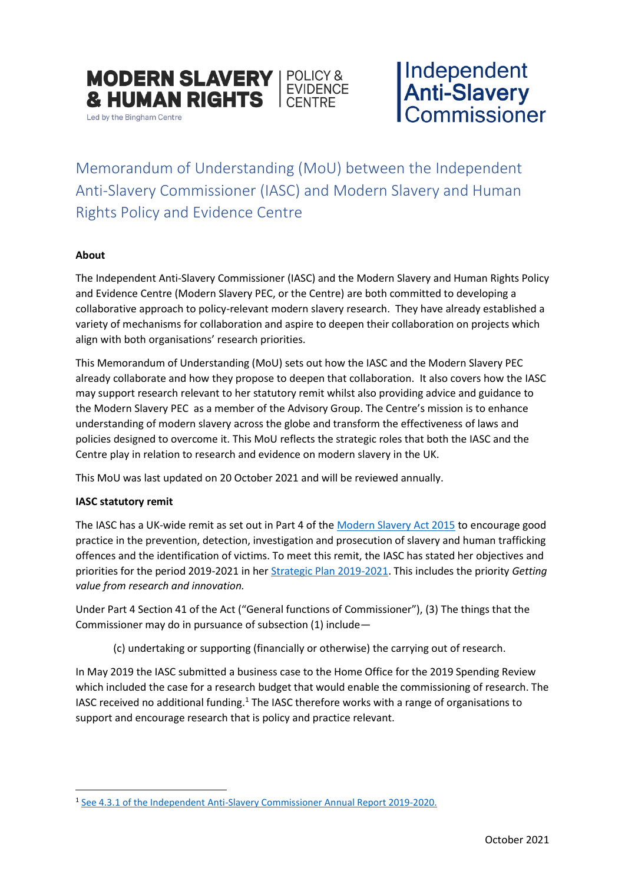

Led by the Bingham Centre

Independent<br>Anti-Slavery<br>Commissioner

Memorandum of Understanding (MoU) between the Independent Anti-Slavery Commissioner (IASC) and Modern Slavery and Human Rights Policy and Evidence Centre

# **About**

The Independent Anti-Slavery Commissioner (IASC) and the Modern Slavery and Human Rights Policy and Evidence Centre (Modern Slavery PEC, or the Centre) are both committed to developing a collaborative approach to policy-relevant modern slavery research. They have already established a variety of mechanisms for collaboration and aspire to deepen their collaboration on projects which align with both organisations' research priorities.

This Memorandum of Understanding (MoU) sets out how the IASC and the Modern Slavery PEC already collaborate and how they propose to deepen that collaboration. It also covers how the IASC may support research relevant to her statutory remit whilst also providing advice and guidance to the Modern Slavery PEC as a member of the Advisory Group. The Centre's mission is to enhance understanding of modern slavery across the globe and transform the effectiveness of laws and policies designed to overcome it. This MoU reflects the strategic roles that both the IASC and the Centre play in relation to research and evidence on modern slavery in the UK.

This MoU was last updated on 20 October 2021 and will be reviewed annually.

# **IASC statutory remit**

The IASC has a UK-wide remit as set out in Part 4 of the [Modern Slavery Act 2015](https://www.legislation.gov.uk/ukpga/2015/30/contents/enacted) to encourage good practice in the prevention, detection, investigation and prosecution of slavery and human trafficking offences and the identification of victims. To meet this remit, the IASC has stated her objectives and priorities for the period 2019-2021 in her [Strategic Plan 2019-2021.](https://www.antislaverycommissioner.co.uk/media/1329/independent-anti-slavery-commissioners-strategic-plan-19-21-screen-readable.pdf) This includes the priority *Getting value from research and innovation.*

Under Part 4 Section 41 of the Act ("General functions of Commissioner"), (3) The things that the Commissioner may do in pursuance of subsection (1) include—

(c) undertaking or supporting (financially or otherwise) the carrying out of research.

In May 2019 the IASC submitted a business case to the Home Office for the 2019 Spending Review which included the case for a research budget that would enable the commissioning of research. The IASC received no additional funding.<sup>1</sup> The IASC therefore works with a range of organisations to support and encourage research that is policy and practice relevant.

<sup>&</sup>lt;sup>1</sup> [See 4.3.1 of the Independent Anti-Slavery Commissioner Annual Report 2019-2020.](https://www.antislaverycommissioner.co.uk/media/1461/ccs207_ccs0520602790-001_iasc_annual-report-2019-2020_e-laying.pdf)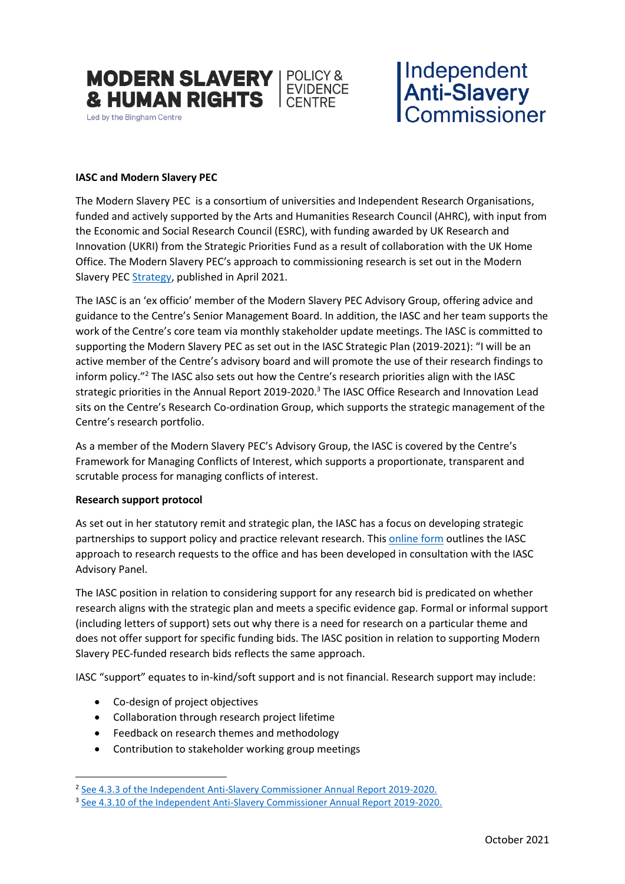

# Independent<br>**Anti-Slavery**<br>Commissioner

# **IASC and Modern Slavery PEC**

The [Modern Slavery P](https://modernslaverypec.org/research-projects/source-countries-trafficking-uk)EC is a consortium of universities and Independent Research Organisations, funded and actively supported by the Arts and Humanities Research Council (AHRC), with input from the Economic and Social Research Council (ESRC), with funding awarded by UK Research and Innovation (UKRI) from the Strategic Priorities Fund as a result of collaboration with the UK Home Office. The Modern Slavery PEC's approach to commissioning research is set out in the Modern Slavery PEC [Strategy,](https://modernslaverypec.org/resources/strategy) published in April 2021.

The IASC is an 'ex officio' member of the Modern Slavery PEC Advisory Group, offering advice and guidance to the Centre's Senior Management Board. In addition, the IASC and her team supports the work of the Centre's core team via monthly stakeholder update meetings. The IASC is committed to supporting the Modern Slavery PEC as set out in the IASC Strategic Plan (2019-2021): "I will be an active member of the Centre's advisory board and will promote the use of their research findings to inform policy."<sup>2</sup> The IASC also sets out how the Centre's research priorities align with the IASC strategic priorities in the Annual Report 2019-2020.<sup>3</sup> The IASC Office Research and Innovation Lead sits on the Centre's Research Co-ordination Group, which supports the strategic management of the Centre's research portfolio.

As a member of the Modern Slavery PEC's Advisory Group, the IASC is covered by the Centre's Framework for Managing Conflicts of Interest, which supports a proportionate, transparent and scrutable process for managing conflicts of interest.

# **Research support protocol**

As set out in her statutory remit and strategic plan, the IASC has a focus on developing strategic partnerships to support policy and practice relevant research. Thi[s online form](https://forms.office.com/Pages/ResponsePage.aspx?id=DQSIkWdsW0yxEjajBLZtrQAAAAAAAAAAAANAASSOZGRUNE8yNVdaMzYzVURKREVWQkJTSUo2ODZMUy4u) outlines the IASC approach to research requests to the office and has been developed in consultation with the IASC Advisory Panel.

The IASC position in relation to considering support for any research bid is predicated on whether research aligns with the strategic plan and meets a specific evidence gap. Formal or informal support (including letters of support) sets out why there is a need for research on a particular theme and does not offer support for specific funding bids. The IASC position in relation to supporting Modern Slavery PEC-funded research bids reflects the same approach.

IASC "support" equates to in-kind/soft support and is not financial. Research support may include:

- Co-design of project objectives
- Collaboration through research project lifetime
- Feedback on research themes and methodology
- Contribution to stakeholder working group meetings

<sup>&</sup>lt;sup>2</sup> See 4.3.3 [of the Independent Anti-Slavery Commissioner Annual Report 2019-2020.](https://www.antislaverycommissioner.co.uk/media/1329/independent-anti-slavery-commissioners-strategic-plan-19-21-screen-readable.pdf)

<sup>&</sup>lt;sup>3</sup> See 4.3.10 [of the Independent Anti-Slavery Commissioner Annual Report 2019-2020.](https://www.antislaverycommissioner.co.uk/media/1461/ccs207_ccs0520602790-001_iasc_annual-report-2019-2020_e-laying.pdf)